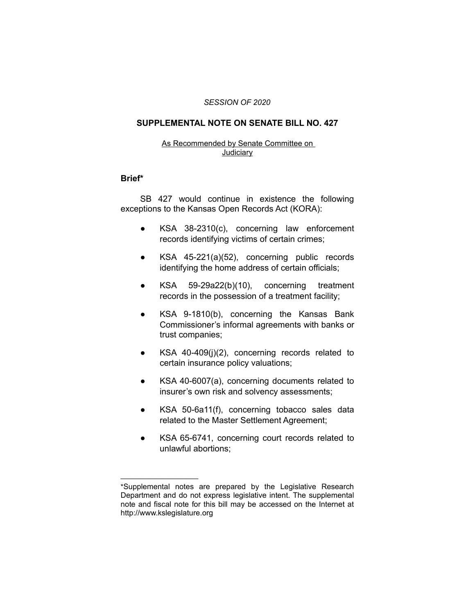#### *SESSION OF 2020*

## **SUPPLEMENTAL NOTE ON SENATE BILL NO. 427**

### As Recommended by Senate Committee on **Judiciary**

#### **Brief\***

SB 427 would continue in existence the following exceptions to the Kansas Open Records Act (KORA):

- KSA 38-2310(c), concerning law enforcement records identifying victims of certain crimes;
- KSA 45-221(a)(52), concerning public records identifying the home address of certain officials;
- KSA 59-29a22(b)(10), concerning treatment records in the possession of a treatment facility;
- KSA 9-1810(b), concerning the Kansas Bank Commissioner's informal agreements with banks or trust companies;
- KSA 40-409(j)(2), concerning records related to certain insurance policy valuations;
- KSA 40-6007(a), concerning documents related to insurer's own risk and solvency assessments;
- KSA 50-6a11(f), concerning tobacco sales data related to the Master Settlement Agreement;
- KSA 65-6741, concerning court records related to unlawful abortions;

 $\overline{\phantom{a}}$  , where  $\overline{\phantom{a}}$  , where  $\overline{\phantom{a}}$ 

<sup>\*</sup>Supplemental notes are prepared by the Legislative Research Department and do not express legislative intent. The supplemental note and fiscal note for this bill may be accessed on the Internet at http://www.kslegislature.org